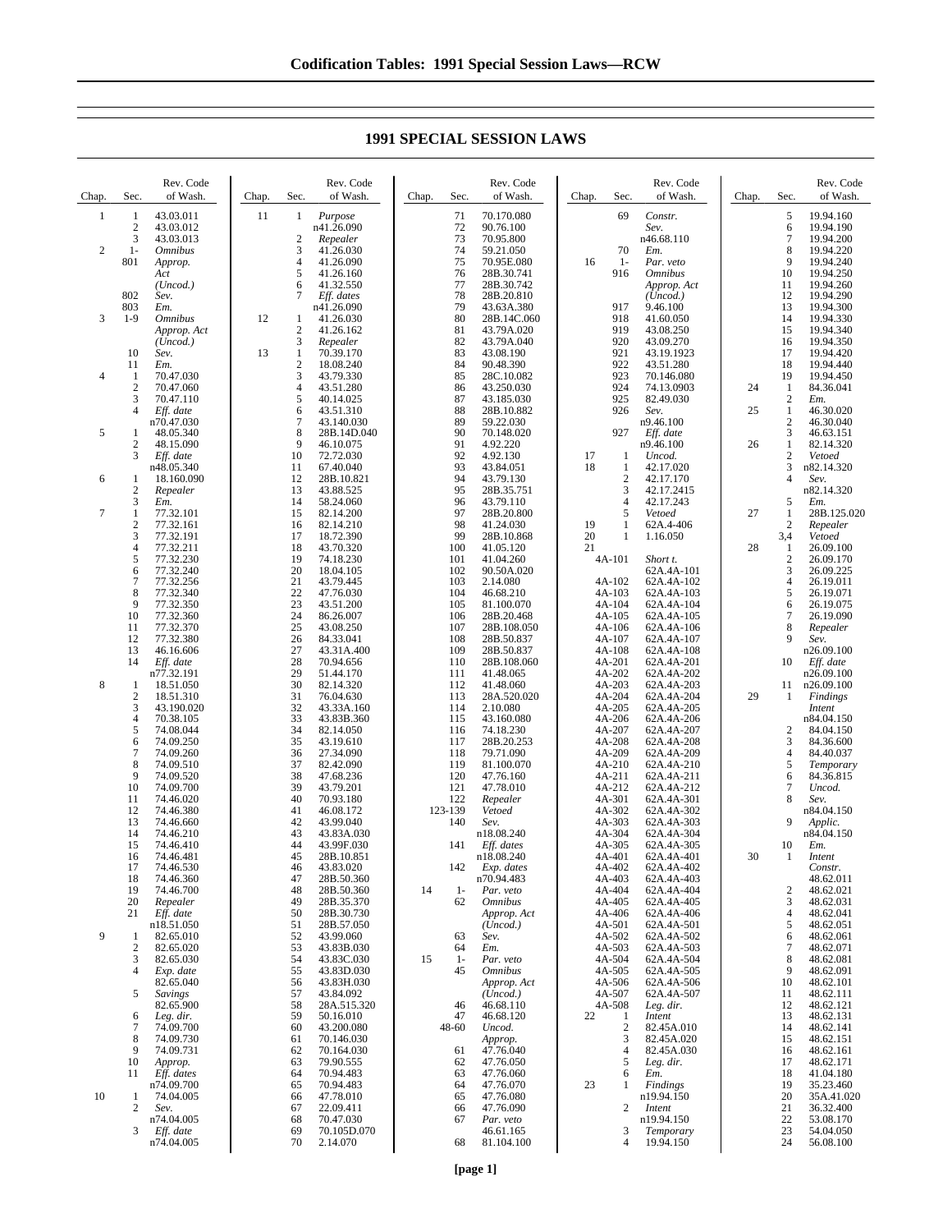| Chap.               | Sec.                                                 | Rev. Code<br>of Wash.                                                                                             | Chap. | Rev. Code<br>of Wash.<br>Sec.                                                                                                                                            | Chap.<br>Sec.                                               | Rev. Code<br>of Wash.                                                                                                   | Chap.<br>Sec.                                                                    | Rev. Code<br>of Wash.                                                                                                    | Chap.    | Sec.                                                 | Rev. Code<br>of Wash.                                                                                        |
|---------------------|------------------------------------------------------|-------------------------------------------------------------------------------------------------------------------|-------|--------------------------------------------------------------------------------------------------------------------------------------------------------------------------|-------------------------------------------------------------|-------------------------------------------------------------------------------------------------------------------------|----------------------------------------------------------------------------------|--------------------------------------------------------------------------------------------------------------------------|----------|------------------------------------------------------|--------------------------------------------------------------------------------------------------------------|
| 1<br>$\overline{c}$ | $\mathbf{1}$<br>$\boldsymbol{2}$<br>3<br>$1-$<br>801 | 43.03.011<br>43.03.012<br>43.03.013<br><i><b>Omnibus</b></i><br>Approp.<br>Act                                    | 11    | Purpose<br>1<br>n41.26.090<br>2<br>Repealer<br>3<br>41.26.030<br>4<br>41.26.090<br>5<br>41.26.160                                                                        | 71<br>72<br>73<br>74<br>75<br>76                            | 70.170.080<br>90.76.100<br>70.95.800<br>59.21.050<br>70.95E.080<br>28B.30.741                                           | 69<br>70<br>16<br>$1-$<br>916                                                    | Constr.<br>Sev.<br>n46.68.110<br>Em.<br>Par. veto<br><b>Omnibus</b>                                                      |          | 5<br>6<br>7<br>8<br>9<br>10                          | 19.94.160<br>19.94.190<br>19.94.200<br>19.94.220<br>19.94.240<br>19.94.250                                   |
| 3                   | 802<br>803<br>$1-9$                                  | (Uncod.)<br>Sev.<br>Em.<br><b>Omnibus</b><br>Approp. Act<br>(Uncod.)                                              | 12    | 41.32.550<br>6<br>7<br>Eff. dates<br>n41.26.090<br>41.26.030<br>1<br>$\overline{2}$<br>41.26.162<br>3<br>Repealer                                                        | 77<br>78<br>79<br>80<br>81<br>82                            | 28B.30.742<br>28B.20.810<br>43.63A.380<br>28B.14C.060<br>43.79A.020<br>43.79A.040                                       | 917<br>918<br>919<br>920                                                         | Approp. Act<br>(Uncod.)<br>9.46.100<br>41.60.050<br>43.08.250<br>43.09.270                                               |          | 11<br>12<br>13<br>14<br>15<br>16                     | 19.94.260<br>19.94.290<br>19.94.300<br>19.94.330<br>19.94.340<br>19.94.350                                   |
| 4                   | 10<br>11<br>-1<br>$\overline{2}$<br>3<br>4           | Sev.<br>Em.<br>70.47.030<br>70.47.060<br>70.47.110<br>Eff. date                                                   | 13    | $\mathbf{1}$<br>70.39.170<br>2<br>18.08.240<br>3<br>43.79.330<br>4<br>43.51.280<br>5<br>40.14.025<br>6<br>43.51.310                                                      | 83<br>84<br>85<br>86<br>87<br>88                            | 43.08.190<br>90.48.390<br>28C.10.082<br>43.250.030<br>43.185.030<br>28B.10.882                                          | 921<br>922<br>923<br>924<br>925<br>926                                           | 43.19.1923<br>43.51.280<br>70.146.080<br>74.13.0903<br>82.49.030<br>Sev.                                                 | 24<br>25 | 17<br>18<br>19<br>1<br>$\overline{c}$<br>1           | 19.94.420<br>19.94.440<br>19.94.450<br>84.36.041<br>Em.<br>46.30.020                                         |
| 5<br>6              | 1<br>$\boldsymbol{2}$<br>3<br>1                      | n70.47.030<br>48.05.340<br>48.15.090<br>Eff. date<br>n48.05.340<br>18.160.090                                     |       | $\overline{7}$<br>43.140.030<br>8<br>28B.14D.040<br>9<br>46.10.075<br>10<br>72.72.030<br>11<br>67.40.040<br>12<br>28B.10.821                                             | 89<br>90<br>91<br>92<br>93<br>94                            | 59.22.030<br>70.148.020<br>4.92.220<br>4.92.130<br>43.84.051<br>43.79.130                                               | 927<br>17<br>1<br>18<br>1<br>$\boldsymbol{2}$                                    | n9.46.100<br>Eff. date<br>n9.46.100<br>Uncod.<br>42.17.020<br>42.17.170                                                  | 26       | $\overline{c}$<br>3<br>1<br>$\overline{c}$<br>3<br>4 | 46.30.040<br>46.63.151<br>82.14.320<br>Vetoed<br>n82.14.320<br>Sev.                                          |
| 7                   | 2<br>3<br>1<br>$\overline{c}$<br>3<br>4              | Repealer<br>Em.<br>77.32.101<br>77.32.161<br>77.32.191<br>77.32.211                                               |       | 13<br>43.88.525<br>14<br>58.24.060<br>15<br>82.14.200<br>16<br>82.14.210<br>17<br>18.72.390<br>18<br>43.70.320                                                           | 95<br>96<br>97<br>98<br>99<br>100                           | 28B.35.751<br>43.79.110<br>28B.20.800<br>41.24.030<br>28B.10.868<br>41.05.120                                           | 3<br>$\overline{4}$<br>5<br>19<br>1<br>20<br>1<br>21                             | 42.17.2415<br>42.17.243<br>Vetoed<br>62A.4-406<br>1.16.050                                                               | 27<br>28 | 5<br>1<br>$\overline{c}$<br>3,4<br>1                 | n82.14.320<br>Em.<br>28B.125.020<br>Repealer<br>Vetoed<br>26.09.100                                          |
|                     | 5<br>6<br>7<br>8<br>9<br>10<br>11<br>12<br>13        | 77.32.230<br>77.32.240<br>77.32.256<br>77.32.340<br>77.32.350<br>77.32.360<br>77.32.370<br>77.32.380<br>46.16.606 |       | 19<br>74.18.230<br>20<br>18.04.105<br>21<br>43.79.445<br>22<br>47.76.030<br>23<br>43.51.200<br>24<br>86.26.007<br>25<br>43.08.250<br>26<br>84.33.041<br>27<br>43.31A.400 | 101<br>102<br>103<br>104<br>105<br>106<br>107<br>108<br>109 | 41.04.260<br>90.50A.020<br>2.14.080<br>46.68.210<br>81.100.070<br>28B.20.468<br>28B.108.050<br>28B.50.837<br>28B.50.837 | 4A-101<br>$4A-102$<br>$4A-103$<br>4A-104<br>4A-105<br>4A-106<br>4A-107<br>4A-108 | Short t.<br>62A.4A-101<br>62A.4A-102<br>62A.4A-103<br>62A.4A-104<br>62A.4A-105<br>62A.4A-106<br>62A.4A-107<br>62A.4A-108 |          | $\overline{c}$<br>3<br>4<br>5<br>6<br>7<br>8<br>9    | 26.09.170<br>26.09.225<br>26.19.011<br>26.19.071<br>26.19.075<br>26.19.090<br>Repealer<br>Sev.<br>n26.09.100 |
| 8                   | 14<br>1<br>$\mathbf{2}$<br>3<br>4<br>5<br>6          | Eff. date<br>n77.32.191<br>18.51.050<br>18.51.310<br>43.190.020<br>70.38.105<br>74.08.044<br>74.09.250            |       | 28<br>70.94.656<br>29<br>51.44.170<br>30<br>82.14.320<br>31<br>76.04.630<br>32<br>43.33A.160<br>33<br>43.83B.360<br>34<br>82.14.050<br>35<br>43.19.610                   | 110<br>111<br>112<br>113<br>114<br>115<br>116<br>117        | 28B.108.060<br>41.48.065<br>41.48.060<br>28A.520.020<br>2.10.080<br>43.160.080<br>74.18.230<br>28B.20.253               | 4A-201<br>4A-202<br>4A-203<br>4A-204<br>4A-205<br>4A-206<br>4A-207<br>4A-208     | 62A.4A-201<br>62A.4A-202<br>62A.4A-203<br>62A.4A-204<br>62A.4A-205<br>62A.4A-206<br>62A.4A-207<br>62A.4A-208             | 29       | 10<br>11<br>1<br>2<br>3                              | Eff. date<br>n26.09.100<br>n26.09.100<br>Findings<br>Intent<br>n84.04.150<br>84.04.150<br>84.36.600          |
|                     | 7<br>8<br>9<br>10<br>11<br>12<br>13                  | 74.09.260<br>74.09.510<br>74.09.520<br>74.09.700<br>74.46.020<br>74.46.380<br>74.46.660                           |       | 36<br>27.34.090<br>37<br>82.42.090<br>38<br>47.68.236<br>39<br>43.79.201<br>40<br>70.93.180<br>41<br>46.08.172<br>42<br>43.99.040                                        | 118<br>119<br>120<br>121<br>122<br>123-139<br>140           | 79.71.090<br>81.100.070<br>47.76.160<br>47.78.010<br>Repealer<br>Vetoed<br>Sev.                                         | 4A-209<br>4A-210<br>4A-211<br>4A-212<br>4A-301<br>4A-302<br>4A-303               | 62A.4A-209<br>62A.4A-210<br>62A.4A-211<br>62A.4A-212<br>62A.4A-301<br>62A.4A-302<br>62A.4A-303                           |          | 4<br>5<br>6<br>7<br>8<br>9                           | 84.40.037<br>Temporary<br>84.36.815<br>Uncod.<br>Sev.<br>n84.04.150<br>Applic.                               |
|                     | 14<br>15<br>16<br>17<br>18<br>19<br>20<br>21         | 74.46.210<br>74.46.410<br>74.46.481<br>74.46.530<br>74.46.360<br>74.46.700<br>Repealer<br>Eff. date               |       | 43<br>43.83A.030<br>44<br>43.99F.030<br>45<br>28B.10.851<br>43.83.020<br>46<br>47<br>28B.50.360<br>48<br>28B.50.360<br>49<br>28B.35.370<br>50<br>28B.30.730              | 141<br>142<br>14<br>$1-$<br>62                              | n18.08.240<br>Eff. dates<br>n18.08.240<br>Exp. dates<br>n70.94.483<br>Par. veto<br><b>Omnibus</b><br>Approp. Act        | 4A-304<br>4A-305<br>4A-401<br>4A-402<br>4A-403<br>4A-404<br>4A-405<br>4A-406     | 62A.4A-304<br>62A.4A-305<br>62A.4A-401<br>62A.4A-402<br>62A.4A-403<br>62A.4A-404<br>62A.4A-405<br>62A.4A-406             | 30       | 10<br>1<br>$\overline{c}$<br>3<br>4                  | n84.04.150<br>Em.<br>Intent<br>Constr.<br>48.62.011<br>48.62.021<br>48.62.031<br>48.62.041                   |
| 9                   | 1<br>$\mathbf{2}$<br>3<br>4<br>5                     | n18.51.050<br>82.65.010<br>82.65.020<br>82.65.030<br>Exp. date<br>82.65.040<br>Savings<br>82.65.900               |       | 51<br>28B.57.050<br>52<br>43.99.060<br>53<br>43.83B.030<br>54<br>43.83C.030<br>55<br>43.83D.030<br>56<br>43.83H,030<br>57<br>43.84.092<br>58<br>28A.515.320              | 63<br>64<br>15<br>$1-$<br>45<br>46                          | (Uncod.)<br>Sev.<br>Em.<br>Par. veto<br><i><b>Omnibus</b></i><br>Approp. Act<br>(Uncod.)<br>46.68.110                   | 4A-501<br>4A-502<br>4A-503<br>4A-504<br>4A-505<br>4A-506<br>4A-507<br>4A-508     | 62A.4A-501<br>62A.4A-502<br>62A.4A-503<br>62A.4A-504<br>62A.4A-505<br>62A.4A-506<br>62A.4A-507<br>Leg. dir.              |          | 5<br>6<br>7<br>8<br>9<br>10<br>11<br>12              | 48.62.051<br>48.62.061<br>48.62.071<br>48.62.081<br>48.62.091<br>48.62.101<br>48.62.111<br>48.62.121         |
|                     | 6<br>7<br>8<br>9<br>10<br>11                         | Leg. dir.<br>74.09.700<br>74.09.730<br>74.09.731<br>Approp.<br>Eff. dates<br>n74.09.700                           |       | 59<br>50.16.010<br>60<br>43.200.080<br>61<br>70.146.030<br>62<br>70.164.030<br>79.90.555<br>63<br>70.94.483<br>64                                                        | 47<br>48-60<br>61<br>62<br>63                               | 46.68.120<br>Uncod.<br>Approp.<br>47.76.040<br>47.76.050<br>47.76.060                                                   | 22<br>1<br>$\overline{c}$<br>3<br>4<br>5<br>6<br>23<br>1                         | Intent<br>82.45A.010<br>82.45A.020<br>82.45A.030<br>Leg. dir.<br>Em.                                                     |          | 13<br>14<br>15<br>16<br>17<br>18<br>19               | 48.62.131<br>48.62.141<br>48.62.151<br>48.62.161<br>48.62.171<br>41.04.180                                   |
| 10                  | 1<br>$\overline{c}$<br>3                             | 74.04.005<br>Sev.<br>n74.04.005<br>Eff. date<br>n74.04.005                                                        |       | 65<br>70.94.483<br>47.78.010<br>66<br>67<br>22.09.411<br>68<br>70.47.030<br>70.105D.070<br>69<br>70<br>2.14.070                                                          | 64<br>65<br>66<br>67<br>68                                  | 47.76.070<br>47.76.080<br>47.76.090<br>Par. veto<br>46.61.165<br>81.104.100                                             | $\overline{c}$<br>3<br>$\overline{4}$                                            | Findings<br>n19.94.150<br>Intent<br>n19.94.150<br>Temporary<br>19.94.150                                                 |          | 20<br>21<br>22<br>23<br>24                           | 35.23.460<br>35A.41.020<br>36.32.400<br>53.08.170<br>54.04.050<br>56.08.100                                  |

## **1991 SPECIAL SESSION LAWS**